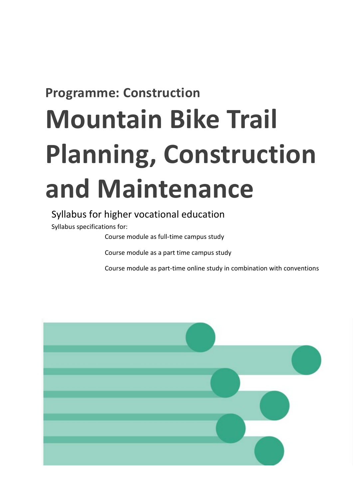## **Programme: Construction**

# **Mountain Bike Trail Planning, Construction and Maintenance**

## Syllabus for higher vocational education

Syllabus specifications for:

Course module as full-time campus study

Course module as a part time campus study

Course module as part-time online study in combination with conventions

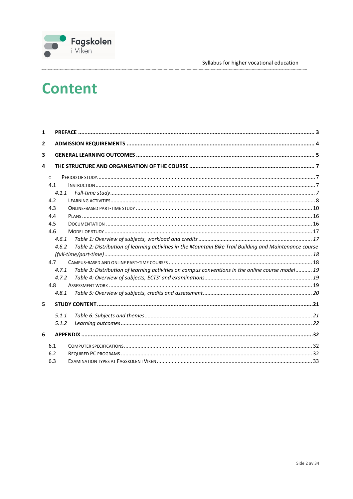# **Content**

| $\mathbf{1}$   |          |                                                                                                         |  |
|----------------|----------|---------------------------------------------------------------------------------------------------------|--|
| $\overline{2}$ |          |                                                                                                         |  |
| 3              |          |                                                                                                         |  |
| 4              |          |                                                                                                         |  |
|                | $\Omega$ |                                                                                                         |  |
|                | 4.1      |                                                                                                         |  |
|                | 4.1.1    |                                                                                                         |  |
|                | 4.2      |                                                                                                         |  |
|                | 4.3      |                                                                                                         |  |
|                | 4.4      |                                                                                                         |  |
|                | 4.5      |                                                                                                         |  |
|                | 4.6      |                                                                                                         |  |
|                | 4.6.1    |                                                                                                         |  |
|                | 4.6.2    | Table 2: Distribution of learning activities in the Mountain Bike Trail Building and Maintenance course |  |
|                |          |                                                                                                         |  |
|                | 4.7      |                                                                                                         |  |
|                | 4.7.1    | Table 3: Distribution of learning activities on campus conventions in the online course model 19        |  |
|                | 4.7.2    |                                                                                                         |  |
|                | 4.8      |                                                                                                         |  |
|                | 4.8.1    |                                                                                                         |  |
| 5              |          |                                                                                                         |  |
|                | 5.1.1    |                                                                                                         |  |
|                | 5.1.2    |                                                                                                         |  |
| 6              |          |                                                                                                         |  |
|                | 6.1      |                                                                                                         |  |
|                | 6.2      |                                                                                                         |  |
|                | 6.3      |                                                                                                         |  |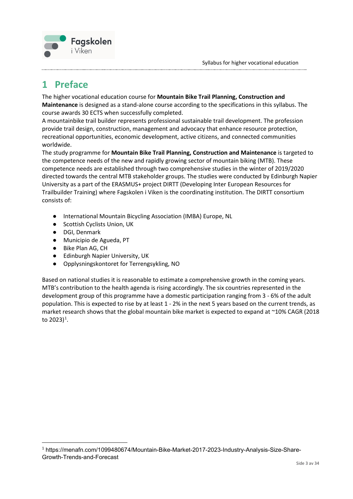

## <span id="page-2-0"></span>**1 Preface**

The higher vocational education course for **Mountain Bike Trail Planning, Construction and Maintenance** is designed as a stand-alone course according to the specifications in this syllabus. The course awards 30 ECTS when successfully completed.

A mountainbike trail builder represents professional sustainable trail development. The profession provide trail design, construction, management and advocacy that enhance resource protection, recreational opportunities, economic development, active citizens, and connected communities worldwide.

The study programme for **Mountain Bike Trail Planning, Construction and Maintenance** is targeted to the competence needs of the new and rapidly growing sector of mountain biking (MTB). These competence needs are established through two comprehensive studies in the winter of 2019/2020 directed towards the central MTB stakeholder groups. The studies were conducted by Edinburgh Napier University as a part of the ERASMUS+ project DIRTT (Developing Inter European Resources for Trailbuilder Training) where Fagskolen i Viken is the coordinating institution. The DIRTT consortium consists of:

- International Mountain Bicycling Association (IMBA) Europe, NL
- Scottish Cyclists Union, UK
- DGI, Denmark
- Municipio de Agueda, PT
- Bike Plan AG, CH
- Edinburgh Napier University, UK
- Opplysningskontoret for Terrengsykling, NO

Based on national studies it is reasonable to estimate a comprehensive growth in the coming years. MTB's contribution to the health agenda is rising accordingly. The six countries represented in the development group of this programme have a domestic participation ranging from 3 - 6% of the adult population. This is expected to rise by at least 1 - 2% in the next 5 years based on the current trends, as market research shows that the global mountain bike market is expected to expand at ~10% CAGR (2018 to 2023) $^{1}$  $^{1}$  $^{1}$ .

<span id="page-2-1"></span><sup>1</sup> https://menafn.com/1099480674/Mountain-Bike-Market-2017-2023-Industry-Analysis-Size-Share-Growth-Trends-and-Forecast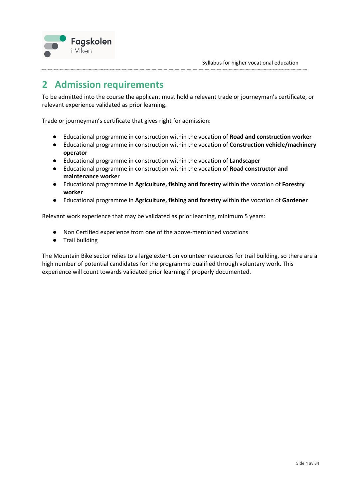

## <span id="page-3-0"></span>**2 Admission requirements**

To be admitted into the course the applicant must hold a relevant trade or journeyman's certificate, or relevant experience validated as prior learning.

Trade or journeyman's certificate that gives right for admission:

- Educational programme in construction within the vocation of **Road and construction worker**
- Educational programme in construction within the vocation of **Construction vehicle/machinery operator**
- Educational programme in construction within the vocation of **Landscaper**
- Educational programme in construction within the vocation of **Road constructor and maintenance worker**
- Educational programme in **Agriculture, fishing and forestry** within the vocation of **Forestry worker**
- Educational programme in **Agriculture, fishing and forestry** within the vocation of **Gardener**

Relevant work experience that may be validated as prior learning, minimum 5 years:

- Non Certified experience from one of the above-mentioned vocations
- Trail building

The Mountain Bike sector relies to a large extent on volunteer resources for trail building, so there are a high number of potential candidates for the programme qualified through voluntary work. This experience will count towards validated prior learning if properly documented.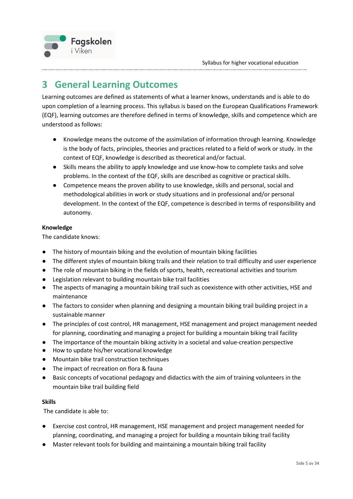

## <span id="page-4-0"></span>**3 General Learning Outcomes**

Learning outcomes are defined as statements of what a learner knows, understands and is able to do upon completion of a learning process. This syllabus is based on the European Qualifications Framework (EQF), learning outcomes are therefore defined in terms of knowledge, skills and competence which are understood as follows:

- Knowledge means the outcome of the assimilation of information through learning. Knowledge is the body of facts, principles, theories and practices related to a field of work or study. In the context of EQF, knowledge is described as theoretical and/or factual.
- Skills means the ability to apply knowledge and use know-how to complete tasks and solve problems. In the context of the EQF, skills are described as cognitive or practical skills.
- Competence means the proven ability to use knowledge, skills and personal, social and methodological abilities in work or study situations and in professional and/or personal development. In the context of the EQF, competence is described in terms of responsibility and autonomy.

#### **Knowledge**

The candidate knows:

- The history of mountain biking and the evolution of mountain biking facilities
- The different styles of mountain biking trails and their relation to trail difficulty and user experience
- The role of mountain biking in the fields of sports, health, recreational activities and tourism
- Legislation relevant to building mountain bike trail facilities
- The aspects of managing a mountain biking trail such as coexistence with other activities, HSE and maintenance
- The factors to consider when planning and designing a mountain biking trail building project in a sustainable manner
- The principles of cost control, HR management, HSE management and project management needed for planning, coordinating and managing a project for building a mountain biking trail facility
- The importance of the mountain biking activity in a societal and value-creation perspective
- How to update his/her vocational knowledge
- Mountain bike trail construction techniques
- The impact of recreation on flora & fauna
- Basic concepts of vocational pedagogy and didactics with the aim of training volunteers in the mountain bike trail building field

#### **Skills**

The candidate is able to:

- Exercise cost control, HR management, HSE management and project management needed for planning, coordinating, and managing a project for building a mountain biking trail facility
- Master relevant tools for building and maintaining a mountain biking trail facility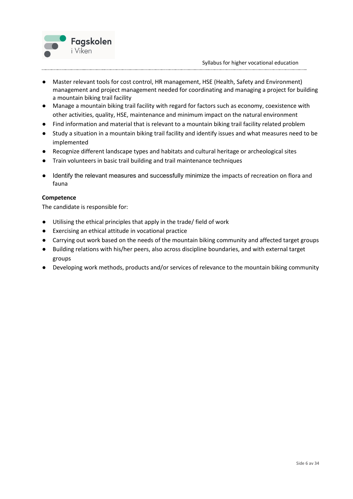

- Master relevant tools for cost control, HR management, HSE (Health, Safety and Environment) management and project management needed for coordinating and managing a project for building a mountain biking trail facility
- Manage a mountain biking trail facility with regard for factors such as economy, coexistence with other activities, quality, HSE, maintenance and minimum impact on the natural environment
- Find information and material that is relevant to a mountain biking trail facility related problem
- Study a situation in a mountain biking trail facility and identify issues and what measures need to be implemented
- Recognize different landscape types and habitats and cultural heritage or archeological sites
- Train volunteers in basic trail building and trail maintenance techniques
- Identify the relevant measures and successfully minimize the impacts of recreation on flora and fauna

#### **Competence**

The candidate is responsible for:

- Utilising the ethical principles that apply in the trade/ field of work
- Exercising an ethical attitude in vocational practice
- Carrying out work based on the needs of the mountain biking community and affected target groups
- Building relations with his/her peers, also across discipline boundaries, and with external target groups
- Developing work methods, products and/or services of relevance to the mountain biking community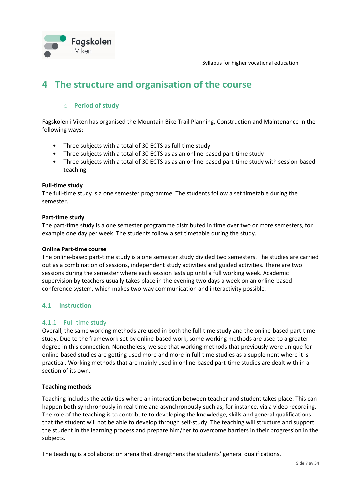

## <span id="page-6-1"></span><span id="page-6-0"></span>**4 The structure and organisation of the course**

#### o **Period of study**

Fagskolen i Viken has organised the Mountain Bike Trail Planning, Construction and Maintenance in the following ways:

- Three subjects with a total of 30 ECTS as full-time study
- Three subjects with a total of 30 ECTS as as an online-based part-time study
- Three subjects with a total of 30 ECTS as as an online-based part-time study with session-based teaching

#### **Full-time study**

The full-time study is a one semester programme. The students follow a set timetable during the semester.

#### **Part-time study**

The part-time study is a one semester programme distributed in time over two or more semesters, for example one day per week. The students follow a set timetable during the study.

#### **Online Part-time course**

The online-based part-time study is a one semester study divided two semesters. The studies are carried out as a combination of sessions, independent study activities and guided activities. There are two sessions during the semester where each session lasts up until a full working week. Academic supervision by teachers usually takes place in the evening two days a week on an online-based conference system, which makes two-way communication and interactivity possible.

#### <span id="page-6-3"></span><span id="page-6-2"></span>**4.1 Instruction**

#### 4.1.1 Full-time study

Overall, the same working methods are used in both the full-time study and the online-based part-time study. Due to the framework set by online-based work, some working methods are used to a greater degree in this connection. Nonetheless, we see that working methods that previously were unique for online-based studies are getting used more and more in full-time studies as a supplement where it is practical. Working methods that are mainly used in online-based part-time studies are dealt with in a section of its own.

#### **Teaching methods**

Teaching includes the activities where an interaction between teacher and student takes place. This can happen both synchronously in real time and asynchronously such as, for instance, via a video recording. The role of the teaching is to contribute to developing the knowledge, skills and general qualifications that the student will not be able to develop through self-study. The teaching will structure and support the student in the learning process and prepare him/her to overcome barriers in their progression in the subjects.

The teaching is a collaboration arena that strengthens the students' general qualifications.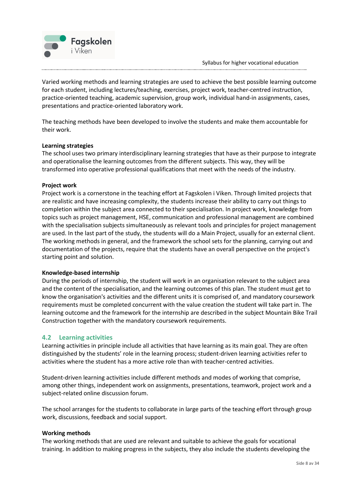

Varied working methods and learning strategies are used to achieve the best possible learning outcome for each student, including lectures/teaching, exercises, project work, teacher-centred instruction, practice-oriented teaching, academic supervision, group work, individual hand-in assignments, cases, presentations and practice-oriented laboratory work.

The teaching methods have been developed to involve the students and make them accountable for their work.

#### **Learning strategies**

The school uses two primary interdisciplinary learning strategies that have as their purpose to integrate and operationalise the learning outcomes from the different subjects. This way, they will be transformed into operative professional qualifications that meet with the needs of the industry.

#### **Project work**

Project work is a cornerstone in the teaching effort at Fagskolen i Viken. Through limited projects that are realistic and have increasing complexity, the students increase their ability to carry out things to completion within the subject area connected to their specialisation. In project work, knowledge from topics such as project management, HSE, communication and professional management are combined with the specialisation subjects simultaneously as relevant tools and principles for project management are used. In the last part of the study, the students will do a Main Project, usually for an external client. The working methods in general, and the framework the school sets for the planning, carrying out and documentation of the projects, require that the students have an overall perspective on the project's starting point and solution.

#### **Knowledge-based internship**

During the periods of internship, the student will work in an organisation relevant to the subject area and the content of the specialisation, and the learning outcomes of this plan. The student must get to know the organisation's activities and the different units it is comprised of, and mandatory coursework requirements must be completed concurrent with the value creation the student will take part in. The learning outcome and the framework for the internship are described in the subject Mountain Bike Trail Construction together with the mandatory coursework requirements.

#### <span id="page-7-0"></span>**4.2 Learning activities**

Learning activities in principle include all activities that have learning as its main goal. They are often distinguished by the students' role in the learning process; student-driven learning activities refer to activities where the student has a more active role than with teacher-centred activities.

Student-driven learning activities include different methods and modes of working that comprise, among other things, independent work on assignments, presentations, teamwork, project work and a subject-related online discussion forum.

The school arranges for the students to collaborate in large parts of the teaching effort through group work, discussions, feedback and social support.

#### **Working methods**

The working methods that are used are relevant and suitable to achieve the goals for vocational training. In addition to making progress in the subjects, they also include the students developing the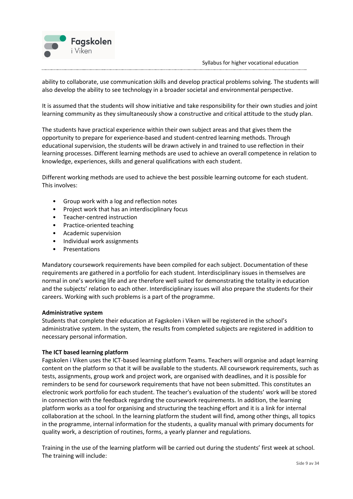

ability to collaborate, use communication skills and develop practical problems solving. The students will also develop the ability to see technology in a broader societal and environmental perspective.

It is assumed that the students will show initiative and take responsibility for their own studies and joint learning community as they simultaneously show a constructive and critical attitude to the study plan.

The students have practical experience within their own subject areas and that gives them the opportunity to prepare for experience-based and student-centred learning methods. Through educational supervision, the students will be drawn actively in and trained to use reflection in their learning processes. Different learning methods are used to achieve an overall competence in relation to knowledge, experiences, skills and general qualifications with each student.

Different working methods are used to achieve the best possible learning outcome for each student. This involves:

- Group work with a log and reflection notes
- Project work that has an interdisciplinary focus
- Teacher-centred instruction
- Practice-oriented teaching
- Academic supervision
- Individual work assignments
- Presentations

Mandatory coursework requirements have been compiled for each subject. Documentation of these requirements are gathered in a portfolio for each student. Interdisciplinary issues in themselves are normal in one's working life and are therefore well suited for demonstrating the totality in education and the subjects' relation to each other. Interdisciplinary issues will also prepare the students for their careers. Working with such problems is a part of the programme.

#### **Administrative system**

Students that complete their education at Fagskolen i Viken will be registered in the school's administrative system. In the system, the results from completed subjects are registered in addition to necessary personal information.

#### **The ICT based learning platform**

Fagskolen i Viken uses the ICT-based learning platform Teams. Teachers will organise and adapt learning content on the platform so that it will be available to the students. All coursework requirements, such as tests, assignments, group work and project work, are organised with deadlines, and it is possible for reminders to be send for coursework requirements that have not been submitted. This constitutes an electronic work portfolio for each student. The teacher's evaluation of the students' work will be stored in connection with the feedback regarding the coursework requirements. In addition, the learning platform works as a tool for organising and structuring the teaching effort and it is a link for internal collaboration at the school. In the learning platform the student will find, among other things, all topics in the programme, internal information for the students, a quality manual with primary documents for quality work, a description of routines, forms, a yearly planner and regulations.

Training in the use of the learning platform will be carried out during the students' first week at school. The training will include: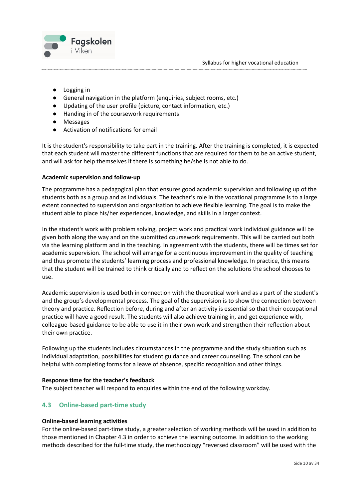

- Logging in
- General navigation in the platform (enquiries, subject rooms, etc.)
- Updating of the user profile (picture, contact information, etc.)
- Handing in of the coursework requirements
- Messages
- Activation of notifications for email

It is the student's responsibility to take part in the training. After the training is completed, it is expected that each student will master the different functions that are required for them to be an active student, and will ask for help themselves if there is something he/she is not able to do.

#### **Academic supervision and follow-up**

The programme has a pedagogical plan that ensures good academic supervision and following up of the students both as a group and as individuals. The teacher's role in the vocational programme is to a large extent connected to supervision and organisation to achieve flexible learning. The goal is to make the student able to place his/her experiences, knowledge, and skills in a larger context.

In the student's work with problem solving, project work and practical work individual guidance will be given both along the way and on the submitted coursework requirements. This will be carried out both via the learning platform and in the teaching. In agreement with the students, there will be times set for academic supervision. The school will arrange for a continuous improvement in the quality of teaching and thus promote the students' learning process and professional knowledge. In practice, this means that the student will be trained to think critically and to reflect on the solutions the school chooses to use.

Academic supervision is used both in connection with the theoretical work and as a part of the student's and the group's developmental process. The goal of the supervision is to show the connection between theory and practice. Reflection before, during and after an activity is essential so that their occupational practice will have a good result. The students will also achieve training in, and get experience with, colleague-based guidance to be able to use it in their own work and strengthen their reflection about their own practice.

Following up the students includes circumstances in the programme and the study situation such as individual adaptation, possibilities for student guidance and career counselling. The school can be helpful with completing forms for a leave of absence, specific recognition and other things.

#### **Response time for the teacher's feedback**

<span id="page-9-0"></span>The subject teacher will respond to enquiries within the end of the following workday.

#### **4.3 Online-based part-time study**

#### **Online-based learning activities**

For the online-based part-time study, a greater selection of working methods will be used in addition to those mentioned in Chapter 4.3 in order to achieve the learning outcome. In addition to the working methods described for the full-time study, the methodology "reversed classroom" will be used with the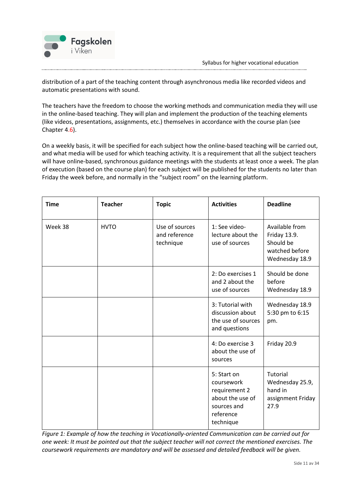

distribution of a part of the teaching content through asynchronous media like recorded videos and automatic presentations with sound.

The teachers have the freedom to choose the working methods and communication media they will use in the online-based teaching. They will plan and implement the production of the teaching elements (like videos, presentations, assignments, etc.) themselves in accordance with the course plan (see Chapter 4.6).

On a weekly basis, it will be specified for each subject how the online-based teaching will be carried out, and what media will be used for which teaching activity. It is a requirement that all the subject teachers will have online-based, synchronous guidance meetings with the students at least once a week. The plan of execution (based on the course plan) for each subject will be published for the students no later than Friday the week before, and normally in the "subject room" on the learning platform.

| <b>Time</b> | <b>Teacher</b> | <b>Topic</b>                                 | <b>Activities</b>                                                                                       | <b>Deadline</b>                                                                 |
|-------------|----------------|----------------------------------------------|---------------------------------------------------------------------------------------------------------|---------------------------------------------------------------------------------|
| Week 38     | <b>HVTO</b>    | Use of sources<br>and reference<br>technique | 1: See video-<br>lecture about the<br>use of sources                                                    | Available from<br>Friday 13.9.<br>Should be<br>watched before<br>Wednesday 18.9 |
|             |                |                                              | 2: Do exercises 1<br>and 2 about the<br>use of sources                                                  | Should be done<br>before<br>Wednesday 18.9                                      |
|             |                |                                              | 3: Tutorial with<br>discussion about<br>the use of sources<br>and questions                             | Wednesday 18.9<br>5:30 pm to 6:15<br>pm.                                        |
|             |                |                                              | 4: Do exercise 3<br>about the use of<br>sources                                                         | Friday 20.9                                                                     |
|             |                |                                              | 5: Start on<br>coursework<br>requirement 2<br>about the use of<br>sources and<br>reference<br>technique | Tutorial<br>Wednesday 25.9,<br>hand in<br>assignment Friday<br>27.9             |

*Figure 1: Example of how the teaching in Vocationally-oriented Communication can be carried out for one week: It must be pointed out that the subject teacher will not correct the mentioned exercises. The coursework requirements are mandatory and will be assessed and detailed feedback will be given.*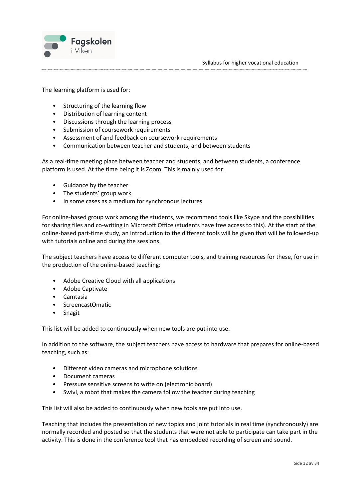

The learning platform is used for:

- Structuring of the learning flow
- Distribution of learning content
- Discussions through the learning process
- Submission of coursework requirements
- Assessment of and feedback on coursework requirements
- Communication between teacher and students, and between students

As a real-time meeting place between teacher and students, and between students, a conference platform is used. At the time being it is Zoom. This is mainly used for:

- Guidance by the teacher
- The students' group work
- In some cases as a medium for synchronous lectures

For online-based group work among the students, we recommend tools like Skype and the possibilities for sharing files and co-writing in Microsoft Office (students have free access to this). At the start of the online-based part-time study, an introduction to the different tools will be given that will be followed-up with tutorials online and during the sessions.

The subject teachers have access to different computer tools, and training resources for these, for use in the production of the online-based teaching:

- Adobe Creative Cloud with all applications
- Adobe Captivate
- Camtasia
- ScreencastOmatic
- Snagit

This list will be added to continuously when new tools are put into use.

In addition to the software, the subject teachers have access to hardware that prepares for online-based teaching, such as:

- Different video cameras and microphone solutions
- Document cameras
- Pressure sensitive screens to write on (electronic board)
- Swivl, a robot that makes the camera follow the teacher during teaching

This list will also be added to continuously when new tools are put into use.

Teaching that includes the presentation of new topics and joint tutorials in real time (synchronously) are normally recorded and posted so that the students that were not able to participate can take part in the activity. This is done in the conference tool that has embedded recording of screen and sound.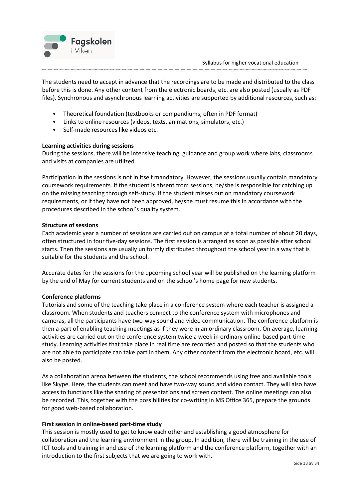The students need to accept in advance that the recordings are to be made and distributed to the class before this is done. Any other content from the electronic boards, etc. are also posted (usually as PDF files). Synchronous and asynchronous learning activities are supported by additional resources, such as:

- Theoretical foundation (textbooks or compendiums, often in PDF format)
- Links to online resources (videos, texts, animations, simulators, etc.)
- Self-made resources like videos etc.

#### **Learning activities during sessions**

Fagskolen

i Viken

During the sessions, there will be intensive teaching, guidance and group work where labs, classrooms and visits at companies are utilized.

Participation in the sessions is not in itself mandatory. However, the sessions usually contain mandatory coursework requirements. If the student is absent from sessions, he/she is responsible for catching up on the missing teaching through self-study. If the student misses out on mandatory coursework requirements, or if they have not been approved, he/she must resume this in accordance with the procedures described in the school's quality system.

#### **Structure of sessions**

Each academic year a number of sessions are carried out on campus at a total number of about 20 days, often structured in four five-day sessions. The first session is arranged as soon as possible after school starts. Then the sessions are usually uniformly distributed throughout the school year in a way that is suitable for the students and the school.

Accurate dates for the sessions for the upcoming school year will be published on the learning platform by the end of May for current students and on the school's home page for new students.

#### **Conference platforms**

Tutorials and some of the teaching take place in a conference system where each teacher is assigned a classroom. When students and teachers connect to the conference system with microphones and cameras, all the participants have two-way sound and video communication. The conference platform is then a part of enabling teaching meetings as if they were in an ordinary classroom. On average, learning activities are carried out on the conference system twice a week in ordinary online-based part-time study. Learning activities that take place in real time are recorded and posted so that the students who are not able to participate can take part in them. Any other content from the electronic board, etc. will also be posted.

As a collaboration arena between the students, the school recommends using free and available tools like Skype. Here, the students can meet and have two-way sound and video contact. They will also have access to functions like the sharing of presentations and screen content. The online meetings can also be recorded. This, together with the possibilities for co-writing in MS Office 365, prepare the grounds for good web-based collaboration.

#### **First session in online-based part-time study**

This session is mostly used to get to know each other and establishing a good atmosphere for collaboration and the learning environment in the group. In addition, there will be training in the use of ICT tools and training in and use of the learning platform and the conference platform, together with an introduction to the first subjects that we are going to work with.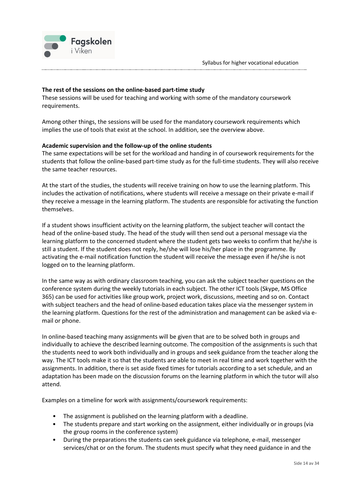

#### **The rest of the sessions on the online-based part-time study**

These sessions will be used for teaching and working with some of the mandatory coursework requirements.

Among other things, the sessions will be used for the mandatory coursework requirements which implies the use of tools that exist at the school. In addition, see the overview above.

#### **Academic supervision and the follow-up of the online students**

The same expectations will be set for the workload and handing in of coursework requirements for the students that follow the online-based part-time study as for the full-time students. They will also receive the same teacher resources.

At the start of the studies, the students will receive training on how to use the learning platform. This includes the activation of notifications, where students will receive a message on their private e-mail if they receive a message in the learning platform. The students are responsible for activating the function themselves.

If a student shows insufficient activity on the learning platform, the subject teacher will contact the head of the online-based study. The head of the study will then send out a personal message via the learning platform to the concerned student where the student gets two weeks to confirm that he/she is still a student. If the student does not reply, he/she will lose his/her place in the programme. By activating the e-mail notification function the student will receive the message even if he/she is not logged on to the learning platform.

In the same way as with ordinary classroom teaching, you can ask the subject teacher questions on the conference system during the weekly tutorials in each subject. The other ICT tools (Skype, MS Office 365) can be used for activities like group work, project work, discussions, meeting and so on. Contact with subject teachers and the head of online-based education takes place via the messenger system in the learning platform. Questions for the rest of the administration and management can be asked via email or phone.

In online-based teaching many assignments will be given that are to be solved both in groups and individually to achieve the described learning outcome. The composition of the assignments is such that the students need to work both individually and in groups and seek guidance from the teacher along the way. The ICT tools make it so that the students are able to meet in real time and work together with the assignments. In addition, there is set aside fixed times for tutorials according to a set schedule, and an adaptation has been made on the discussion forums on the learning platform in which the tutor will also attend.

Examples on a timeline for work with assignments/coursework requirements:

- The assignment is published on the learning platform with a deadline.
- The students prepare and start working on the assignment, either individually or in groups (via the group rooms in the conference system)
- During the preparations the students can seek guidance via telephone, e-mail, messenger services/chat or on the forum. The students must specify what they need guidance in and the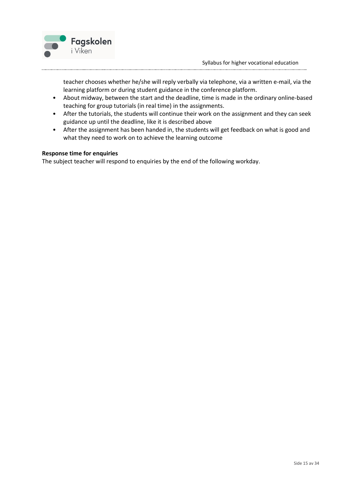

teacher chooses whether he/she will reply verbally via telephone, via a written e-mail, via the learning platform or during student guidance in the conference platform.

- About midway, between the start and the deadline, time is made in the ordinary online-based teaching for group tutorials (in real time) in the assignments.
- After the tutorials, the students will continue their work on the assignment and they can seek guidance up until the deadline, like it is described above
- After the assignment has been handed in, the students will get feedback on what is good and what they need to work on to achieve the learning outcome

#### **Response time for enquiries**

The subject teacher will respond to enquiries by the end of the following workday.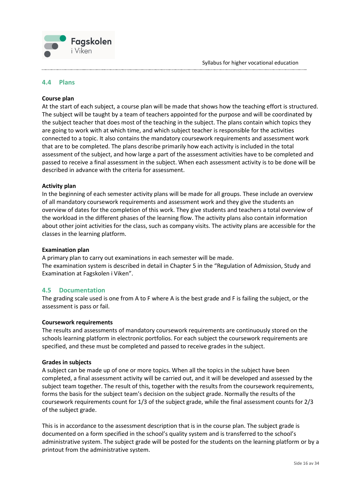

#### <span id="page-15-0"></span>**4.4 Plans**

#### **Course plan**

At the start of each subject, a course plan will be made that shows how the teaching effort is structured. The subject will be taught by a team of teachers appointed for the purpose and will be coordinated by the subject teacher that does most of the teaching in the subject. The plans contain which topics they are going to work with at which time, and which subject teacher is responsible for the activities connected to a topic. It also contains the mandatory coursework requirements and assessment work that are to be completed. The plans describe primarily how each activity is included in the total assessment of the subject, and how large a part of the assessment activities have to be completed and passed to receive a final assessment in the subject. When each assessment activity is to be done will be described in advance with the criteria for assessment.

#### **Activity plan**

In the beginning of each semester activity plans will be made for all groups. These include an overview of all mandatory coursework requirements and assessment work and they give the students an overview of dates for the completion of this work. They give students and teachers a total overview of the workload in the different phases of the learning flow. The activity plans also contain information about other joint activities for the class, such as company visits. The activity plans are accessible for the classes in the learning platform.

#### **Examination plan**

A primary plan to carry out examinations in each semester will be made. The examination system is described in detail in Chapter 5 in the "Regulation of Admission, Study and Examination at Fagskolen i Viken".

#### <span id="page-15-1"></span>**4.5 Documentation**

The grading scale used is one from A to F where A is the best grade and F is failing the subject, or the assessment is pass or fail.

#### **Coursework requirements**

The results and assessments of mandatory coursework requirements are continuously stored on the schools learning platform in electronic portfolios. For each subject the coursework requirements are specified, and these must be completed and passed to receive grades in the subject.

#### **Grades in subjects**

A subject can be made up of one or more topics. When all the topics in the subject have been completed, a final assessment activity will be carried out, and it will be developed and assessed by the subject team together. The result of this, together with the results from the coursework requirements, forms the basis for the subject team's decision on the subject grade. Normally the results of the coursework requirements count for 1/3 of the subject grade, while the final assessment counts for 2/3 of the subject grade.

This is in accordance to the assessment description that is in the course plan. The subject grade is documented on a form specified in the school's quality system and is transferred to the school's administrative system. The subject grade will be posted for the students on the learning platform or by a printout from the administrative system.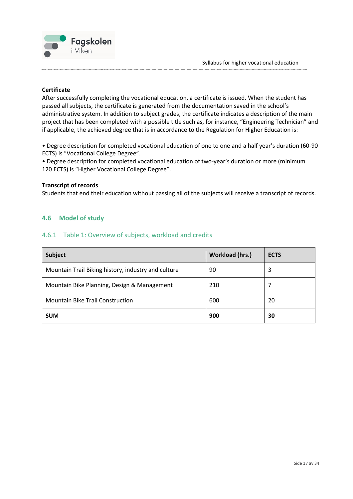

#### **Certificate**

After successfully completing the vocational education, a certificate is issued. When the student has passed all subjects, the certificate is generated from the documentation saved in the school's administrative system. In addition to subject grades, the certificate indicates a description of the main project that has been completed with a possible title such as, for instance, "Engineering Technician" and if applicable, the achieved degree that is in accordance to the Regulation for Higher Education is:

• Degree description for completed vocational education of one to one and a half year's duration (60-90 ECTS) is "Vocational College Degree".

• Degree description for completed vocational education of two-year's duration or more (minimum 120 ECTS) is "Higher Vocational College Degree".

#### **Transcript of records**

Students that end their education without passing all of the subjects will receive a transcript of records.

#### <span id="page-16-1"></span><span id="page-16-0"></span>**4.6 Model of study**

#### 4.6.1 Table 1: Overview of subjects, workload and credits

| Subject                                             | <b>Workload (hrs.)</b> | <b>ECTS</b> |
|-----------------------------------------------------|------------------------|-------------|
| Mountain Trail Biking history, industry and culture | 90                     | 3           |
| Mountain Bike Planning, Design & Management         | 210                    |             |
| <b>Mountain Bike Trail Construction</b>             | 600                    | 20          |
| <b>SUM</b>                                          | 900                    | 30          |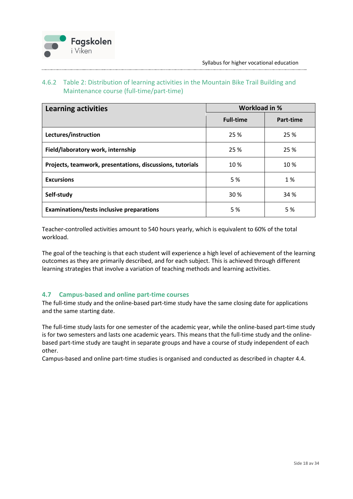

#### <span id="page-17-0"></span>4.6.2 Table 2: Distribution of learning activities in the Mountain Bike Trail Building and Maintenance course (full-time/part-time)

| <b>Learning activities</b>                                | Workload in %    |           |
|-----------------------------------------------------------|------------------|-----------|
|                                                           | <b>Full-time</b> | Part-time |
| Lectures/instruction                                      | 25 %             | 25 %      |
| Field/laboratory work, internship                         | 25 %             | 25 %      |
| Projects, teamwork, presentations, discussions, tutorials | 10%              | 10%       |
| <b>Excursions</b>                                         | 5 %              | 1 %       |
| Self-study                                                | 30 %             | 34 %      |
| <b>Examinations/tests inclusive preparations</b>          | 5 %              | 5 %       |

Teacher-controlled activities amount to 540 hours yearly, which is equivalent to 60% of the total workload.

The goal of the teaching is that each student will experience a high level of achievement of the learning outcomes as they are primarily described, and for each subject. This is achieved through different learning strategies that involve a variation of teaching methods and learning activities.

#### <span id="page-17-1"></span>**4.7 Campus-based and online part-time courses**

The full-time study and the online-based part-time study have the same closing date for applications and the same starting date.

The full-time study lasts for one semester of the academic year, while the online-based part-time study is for two semesters and lasts one academic years. This means that the full-time study and the onlinebased part-time study are taught in separate groups and have a course of study independent of each other.

Campus-based and online part-time studies is organised and conducted as described in chapter 4.4.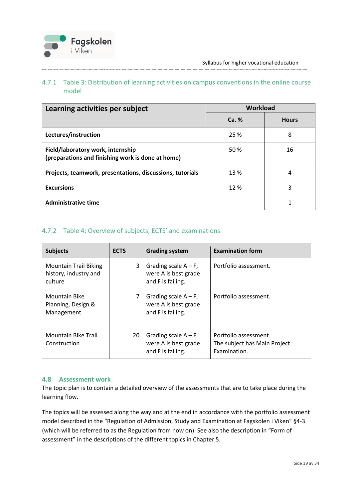

#### <span id="page-18-0"></span>4.7.1 Table 3: Distribution of learning activities on campus conventions in the online course model

| Learning activities per subject                                                        | <b>Workload</b> |              |
|----------------------------------------------------------------------------------------|-----------------|--------------|
|                                                                                        | Ca. %           | <b>Hours</b> |
| Lectures/instruction                                                                   | 25 %            | 8            |
| Field/laboratory work, internship<br>(preparations and finishing work is done at home) | 50 %            | 16           |
| Projects, teamwork, presentations, discussions, tutorials                              | 13 %            | 4            |
| <b>Excursions</b>                                                                      | 12%             | 3            |
| <b>Administrative time</b>                                                             |                 |              |

#### <span id="page-18-1"></span>4.7.2 Table 4: Overview of subjects, ECTS' and examinations

| <b>Subjects</b>                                                  | <b>ECTS</b> | <b>Grading system</b>                                                | <b>Examination form</b>                                               |
|------------------------------------------------------------------|-------------|----------------------------------------------------------------------|-----------------------------------------------------------------------|
| <b>Mountain Trail Biking</b><br>history, industry and<br>culture | 3           | Grading scale $A - F$ ,<br>were A is best grade<br>and F is failing. | Portfolio assessment.                                                 |
| <b>Mountain Bike</b><br>Planning, Design &<br>Management         | 7           | Grading scale $A - F$ ,<br>were A is best grade<br>and F is failing. | Portfolio assessment.                                                 |
| Mountain Bike Trail<br>Construction                              | 20          | Grading scale $A - F$ ,<br>were A is best grade<br>and F is failing. | Portfolio assessment.<br>The subject has Main Project<br>Examination. |

#### <span id="page-18-2"></span>**4.8 Assessment work**

The topic plan is to contain a detailed overview of the assessments that are to take place during the learning flow.

The topics will be assessed along the way and at the end in accordance with the portfolio assessment model described in the "Regulation of Admission, Study and Examination at Fagskolen i Viken" §4-3 (which will be referred to as the Regulation from now on). See also the description in "Form of assessment" in the descriptions of the different topics in Chapter 5.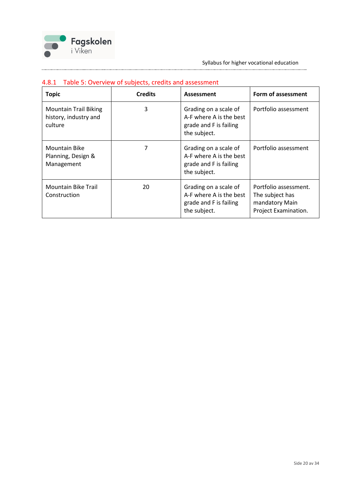

| <b>Topic</b>                                                     | <b>Credits</b> | Assessment                                                                                 | Form of assessment                                                                 |  |
|------------------------------------------------------------------|----------------|--------------------------------------------------------------------------------------------|------------------------------------------------------------------------------------|--|
| <b>Mountain Trail Biking</b><br>history, industry and<br>culture | 3              | Grading on a scale of<br>A-F where A is the best<br>grade and F is failing<br>the subject. | Portfolio assessment                                                               |  |
| <b>Mountain Bike</b><br>Planning, Design &<br>Management         |                | Grading on a scale of<br>A-F where A is the best<br>grade and F is failing<br>the subject. | Portfolio assessment                                                               |  |
| <b>Mountain Bike Trail</b><br>Construction                       | 20             | Grading on a scale of<br>A-F where A is the best<br>grade and F is failing<br>the subject. | Portfolio assessment.<br>The subject has<br>mandatory Main<br>Project Examination. |  |

#### <span id="page-19-0"></span>4.8.1 Table 5: Overview of subjects, credits and assessment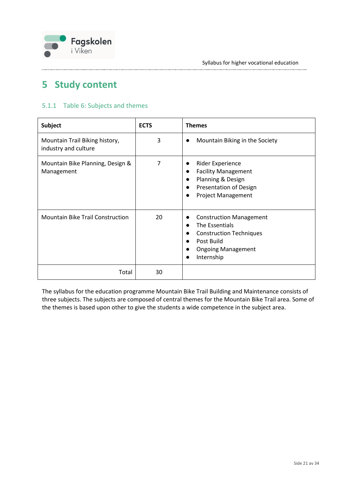

## <span id="page-20-0"></span>**5 Study content**

#### <span id="page-20-1"></span>5.1.1 Table 6: Subjects and themes

| <b>Subject</b>                                         | <b>ECTS</b> | <b>Themes</b>                                                                                                                                                                                                             |
|--------------------------------------------------------|-------------|---------------------------------------------------------------------------------------------------------------------------------------------------------------------------------------------------------------------------|
| Mountain Trail Biking history,<br>industry and culture | 3           | Mountain Biking in the Society<br>$\bullet$                                                                                                                                                                               |
| Mountain Bike Planning, Design &<br>Management         | 7           | Rider Experience<br>$\bullet$<br><b>Facility Management</b><br>$\bullet$<br>Planning & Design<br>$\bullet$<br><b>Presentation of Design</b><br>$\bullet$<br><b>Project Management</b>                                     |
| <b>Mountain Bike Trail Construction</b>                | 20          | <b>Construction Management</b><br>$\bullet$<br>The Essentials<br>$\bullet$<br><b>Construction Techniques</b><br>$\bullet$<br>Post Build<br>$\bullet$<br><b>Ongoing Management</b><br>$\bullet$<br>Internship<br>$\bullet$ |
| Total                                                  | 30          |                                                                                                                                                                                                                           |

The syllabus for the education programme Mountain Bike Trail Building and Maintenance consists of three subjects. The subjects are composed of central themes for the Mountain Bike Trail area. Some of the themes is based upon other to give the students a wide competence in the subject area.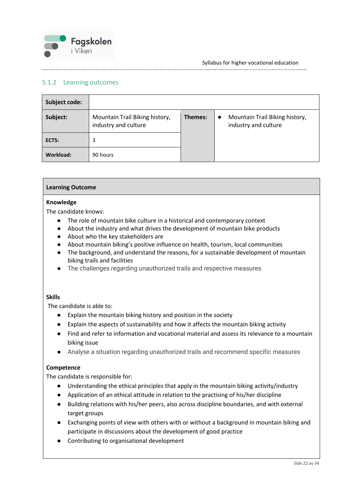

#### <span id="page-21-0"></span>5.1.2 Learning outcomes

| Subject code:    |                                                        |         |           |                                                        |
|------------------|--------------------------------------------------------|---------|-----------|--------------------------------------------------------|
| Subject:         | Mountain Trail Biking history,<br>industry and culture | Themes: | $\bullet$ | Mountain Trail Biking history,<br>industry and culture |
| ECTS:            | 3                                                      |         |           |                                                        |
| <b>Workload:</b> | 90 hours                                               |         |           |                                                        |

#### **Learning Outcome**

#### **Knowledge**

The candidate knows:

- The role of mountain bike culture in a historical and contemporary context
- About the industry and what drives the development of mountain bike products
- About who the key stakeholders are
- About mountain biking's positive influence on health, tourism, local communities
- The background, and understand the reasons, for a sustainable development of mountain biking trails and facilities
- The challenges regarding unauthorized trails and respective measures

#### **Skills**

The candidate is able to:

- Explain the mountain biking history and position in the society
- Explain the aspects of sustainability and how it affects the mountain biking activity
- Find and refer to information and vocational material and assess its relevance to a mountain biking issue
- Analyse a situation regarding unauthorized trails and recommend specific measures

#### **Competence**

The candidate is responsible for:

- Understanding the ethical principles that apply in the mountain biking activity/industry
- Application of an ethical attitude in relation to the practising of his/her discipline
- Building relations with his/her peers, also across discipline boundaries, and with external target groups
- Exchanging points of view with others with or without a background in mountain biking and participate in discussions about the development of good practice
- Contributing to organisational development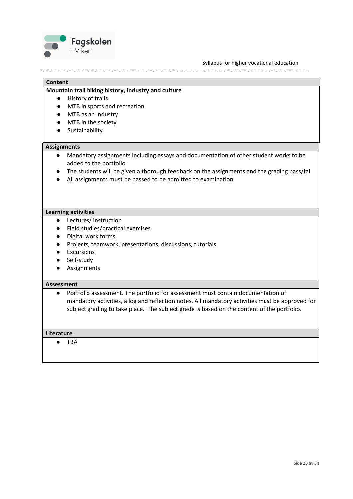



#### **Mountain trail biking history, industry and culture**

- History of trails
- MTB in sports and recreation
- MTB as an industry
- MTB in the society
- Sustainability

#### **Assignments**

**Content**

- Mandatory assignments including essays and documentation of other student works to be added to the portfolio
- The students will be given a thorough feedback on the assignments and the grading pass/fail
- All assignments must be passed to be admitted to examination

#### **Learning activities**

- Lectures/ instruction
- Field studies/practical exercises
- Digital work forms
- Projects, teamwork, presentations, discussions, tutorials
- Excursions
- Self-study
- Assignments

#### **Assessment**

● Portfolio assessment. The portfolio for assessment must contain documentation of mandatory activities, a log and reflection notes. All mandatory activities must be approved for subject grading to take place. The subject grade is based on the content of the portfolio.

#### **Literature**

● TBA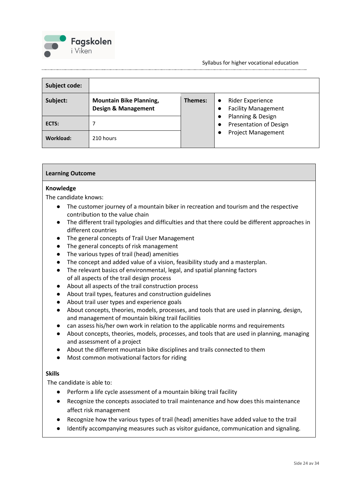

Syllabus for higher vocational education

| Subject code: |                                                                  |                      |                                                    |
|---------------|------------------------------------------------------------------|----------------------|----------------------------------------------------|
| Subject:      | <b>Mountain Bike Planning,</b><br><b>Design &amp; Management</b> | Themes:<br>$\bullet$ | Rider Experience<br><b>Facility Management</b>     |
| ECTS:         |                                                                  |                      | Planning & Design<br><b>Presentation of Design</b> |
| Workload:     | 210 hours                                                        |                      | <b>Project Management</b>                          |

#### **Learning Outcome**

#### **Knowledge**

The candidate knows:

- The customer journey of a mountain biker in recreation and tourism and the respective contribution to the value chain
- The different trail typologies and difficulties and that there could be different approaches in different countries
- The general concepts of Trail User Management
- The general concepts of risk management
- The various types of trail (head) amenities
- The concept and added value of a vision, feasibility study and a masterplan.
- The relevant basics of environmental, legal, and spatial planning factors of all aspects of the trail design process
- About all aspects of the trail construction process
- About trail types, features and construction guidelines
- About trail user types and experience goals
- About concepts, theories, models, processes, and tools that are used in planning, design, and management of mountain biking trail facilities
- can assess his/her own work in relation to the applicable norms and requirements
- About concepts, theories, models, processes, and tools that are used in planning, managing and assessment of a project
- About the different mountain bike disciplines and trails connected to them
- Most common motivational factors for riding

#### **Skills**

The candidate is able to:

- Perform a life cycle assessment of a mountain biking trail facility
- Recognize the concepts associated to trail maintenance and how does this maintenance affect risk management
- Recognize how the various types of trail (head) amenities have added value to the trail
- Identify accompanying measures such as visitor guidance, communication and signaling.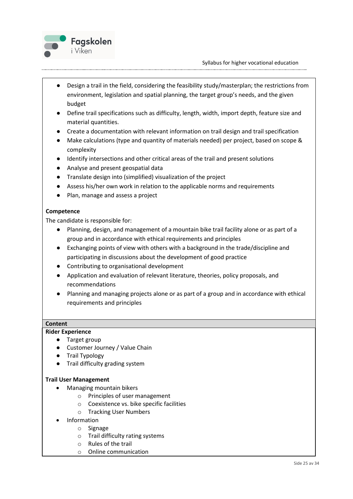

- Design a trail in the field, considering the feasibility study/masterplan; the restrictions from environment, legislation and spatial planning, the target group's needs, and the given budget
- Define trail specifications such as difficulty, length, width, import depth, feature size and material quantities.
- Create a documentation with relevant information on trail design and trail specification
- Make calculations (type and quantity of materials needed) per project, based on scope & complexity
- Identify intersections and other critical areas of the trail and present solutions
- Analyse and present geospatial data
- Translate design into (simplified) visualization of the project
- Assess his/her own work in relation to the applicable norms and requirements
- Plan, manage and assess a project

#### **Competence**

The candidate is responsible for:

- Planning, design, and management of a mountain bike trail facility alone or as part of a group and in accordance with ethical requirements and principles
- Exchanging points of view with others with a background in the trade/discipline and participating in discussions about the development of good practice
- Contributing to organisational development
- Application and evaluation of relevant literature, theories, policy proposals, and recommendations
- Planning and managing projects alone or as part of a group and in accordance with ethical requirements and principles

#### **Content**

#### **Rider Experience**

- Target group
- Customer Journey / Value Chain
- **Trail Typology**
- Trail difficulty grading system

#### **Trail User Management**

- Managing mountain bikers
	- o Principles of user management
	- o Coexistence vs. bike specific facilities
	- o Tracking User Numbers
- **Information** 
	- o Signage
	- o Trail difficulty rating systems
	- o Rules of the trail
	- o Online communication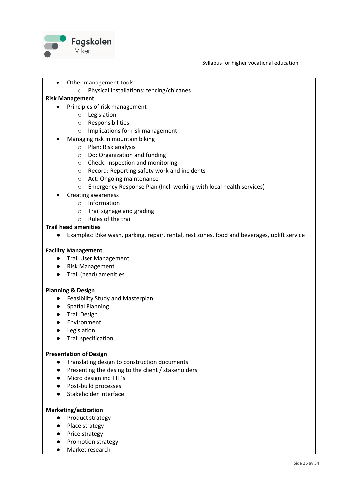

- Other management tools
	- o Physical installations: fencing/chicanes

#### **Risk Management**

- Principles of risk management
	- o Legislation
	- o Responsibilities
	- o Implications for risk management
- Managing risk in mountain biking
	- o Plan: Risk analysis
	- o Do: Organization and funding
	- o Check: Inspection and monitoring
	- o Record: Reporting safety work and incidents
	- o Act: Ongoing maintenance
	- o Emergency Response Plan (Incl. working with local health services)
- Creating awareness
	- o Information
	- o Trail signage and grading
	- o Rules of the trail

#### **Trail head amenities**

● Examples: Bike wash, parking, repair, rental, rest zones, food and beverages, uplift service

#### **Facility Management**

- Trail User Management
- Risk Management
- Trail (head) amenities

#### **Planning & Design**

- Feasibility Study and Masterplan
- Spatial Planning
- Trail Design
- Environment
- Legislation
- Trail specification

#### **Presentation of Design**

- Translating design to construction documents
- Presenting the desing to the client / stakeholders
- Micro design inc TTF's
- Post-build processes
- Stakeholder Interface

#### **Marketing/actication**

- Product strategy
- Place strategy
- Price strategy
- Promotion strategy
- Market research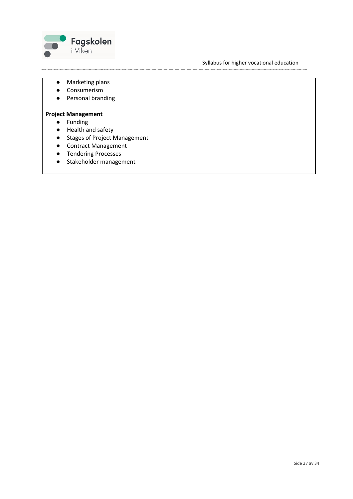

Syllabus for higher vocational education

- Marketing plans
- Consumerism
- Personal branding

#### **Project Management**

- Funding
- Health and safety
- Stages of Project Management
- Contract Management
- Tendering Processes
- Stakeholder management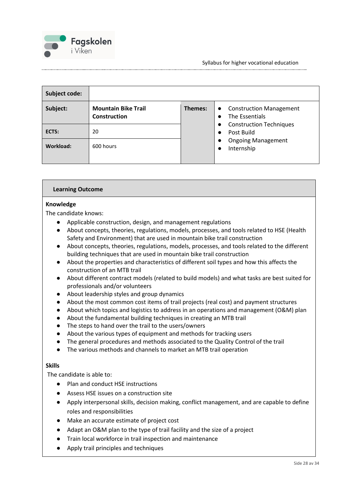

| Subject code: |                                            |                      |                                                                   |
|---------------|--------------------------------------------|----------------------|-------------------------------------------------------------------|
| Subject:      | <b>Mountain Bike Trail</b><br>Construction | Themes:<br>$\bullet$ | <b>Construction Management</b><br>The Essentials                  |
| ECTS:         | 20                                         |                      | <b>Construction Techniques</b><br>Post Build                      |
| Workload:     | 600 hours                                  |                      | <b>Ongoing Management</b><br>$\bullet$<br>Internship<br>$\bullet$ |

#### **Learning Outcome**

#### **Knowledge**

The candidate knows:

- Applicable construction, design, and management regulations
- About concepts, theories, regulations, models, processes, and tools related to HSE (Health Safety and Environment) that are used in mountain bike trail construction
- About concepts, theories, regulations, models, processes, and tools related to the different building techniques that are used in mountain bike trail construction
- About the properties and characteristics of different soil types and how this affects the construction of an MTB trail
- About different contract models (related to build models) and what tasks are best suited for professionals and/or volunteers
- About leadership styles and group dynamics
- About the most common cost items of trail projects (real cost) and payment structures
- About which topics and logistics to address in an operations and management (O&M) plan
- About the fundamental building techniques in creating an MTB trail
- The steps to hand over the trail to the users/owners
- About the various types of equipment and methods for tracking users
- The general procedures and methods associated to the Quality Control of the trail
- The various methods and channels to market an MTB trail operation

#### **Skills**

The candidate is able to:

- Plan and conduct HSE instructions
- Assess HSE issues on a construction site
- Apply interpersonal skills, decision making, conflict management, and are capable to define roles and responsibilities
- Make an accurate estimate of project cost
- Adapt an O&M plan to the type of trail facility and the size of a project
- Train local workforce in trail inspection and maintenance
- Apply trail principles and techniques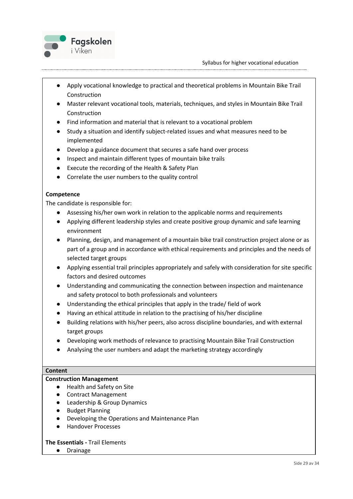

- Apply vocational knowledge to practical and theoretical problems in Mountain Bike Trail Construction
- Master relevant vocational tools, materials, techniques, and styles in Mountain Bike Trail Construction
- Find information and material that is relevant to a vocational problem
- Study a situation and identify subject-related issues and what measures need to be implemented
- Develop a guidance document that secures a safe hand over process
- Inspect and maintain different types of mountain bike trails
- Execute the recording of the Health & Safety Plan
- Correlate the user numbers to the quality control

#### **Competence**

The candidate is responsible for:

- Assessing his/her own work in relation to the applicable norms and requirements
- Applying different leadership styles and create positive group dynamic and safe learning environment
- Planning, design, and management of a mountain bike trail construction project alone or as part of a group and in accordance with ethical requirements and principles and the needs of selected target groups
- Applying essential trail principles appropriately and safely with consideration for site specific factors and desired outcomes
- Understanding and communicating the connection between inspection and maintenance and safety protocol to both professionals and volunteers
- Understanding the ethical principles that apply in the trade/ field of work
- Having an ethical attitude in relation to the practising of his/her discipline
- Building relations with his/her peers, also across discipline boundaries, and with external target groups
- Developing work methods of relevance to practising Mountain Bike Trail Construction
- Analysing the user numbers and adapt the marketing strategy accordingly

#### **Content**

#### **Construction Management**

- Health and Safety on Site
- Contract Management
- Leadership & Group Dynamics
- **Budget Planning**
- Developing the Operations and Maintenance Plan
- Handover Processes

#### **The Essentials -** Trail Elements

● Drainage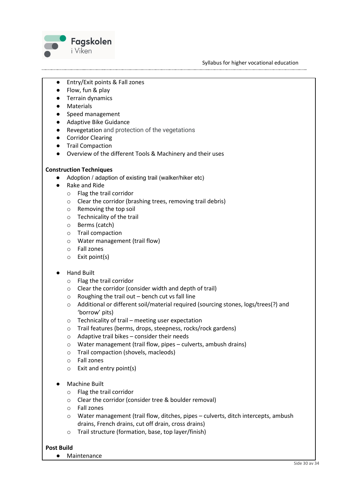

- Entry/Exit points & Fall zones
- Flow, fun & play
- Terrain dynamics
- Materials
- Speed management
- Adaptive Bike Guidance
- Revegetation and protection of the vegetations
- Corridor Clearing
- Trail Compaction
- Overview of the different Tools & Machinery and their uses

#### **Construction Techniques**

- Adoption / adaption of existing trail (walker/hiker etc)
- Rake and Ride
	- o Flag the trail corridor
	- o Clear the corridor (brashing trees, removing trail debris)
	- o Removing the top soil
	- o Technicality of the trail
	- o Berms (catch)
	- o Trail compaction
	- o Water management (trail flow)
	- o Fall zones
	- o Exit point(s)

#### ● Hand Built

- o Flag the trail corridor
- o Clear the corridor (consider width and depth of trail)
- $\circ$  Roughing the trail out bench cut vs fall line
- o Additional or different soil/material required (sourcing stones, logs/trees(?) and 'borrow' pits)
- o Technicality of trail meeting user expectation
- o Trail features (berms, drops, steepness, rocks/rock gardens)
- o Adaptive trail bikes consider their needs
- o Water management (trail flow, pipes culverts, ambush drains)
- o Trail compaction (shovels, macleods)
- o Fall zones
- $\circ$  Exit and entry point(s)
- **Machine Built** 
	- o Flag the trail corridor
	- o Clear the corridor (consider tree & boulder removal)
	- o Fall zones
	- o Water management (trail flow, ditches, pipes culverts, ditch intercepts, ambush drains, French drains, cut off drain, cross drains)
	- o Trail structure (formation, base, top layer/finish)

#### **Post Build**

● Maintenance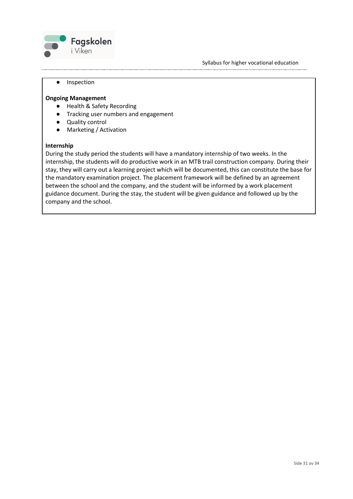

#### ● Inspection

#### **Ongoing Management**

- Health & Safety Recording
- Tracking user numbers and engagement
- Quality control
- Marketing / Activation

#### **Internship**

During the study period the students will have a mandatory internship of two weeks. In the internship, the students will do productive work in an MTB trail construction company. During their stay, they will carry out a learning project which will be documented, this can constitute the base for the mandatory examination project. The placement framework will be defined by an agreement between the school and the company, and the student will be informed by a work placement guidance document. During the stay, the student will be given guidance and followed up by the company and the school.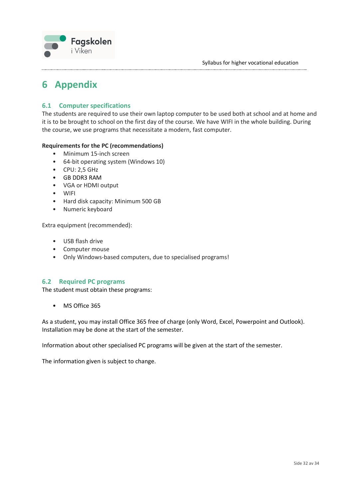

## <span id="page-31-0"></span>**6 Appendix**

#### <span id="page-31-1"></span>**6.1 Computer specifications**

The students are required to use their own laptop computer to be used both at school and at home and it is to be brought to school on the first day of the course. We have WIFI in the whole building. During the course, we use programs that necessitate a modern, fast computer.

#### **Requirements for the PC (recommendations)**

- Minimum 15-inch screen
- 64-bit operating system (Windows 10)
- CPU: 2,5 GHz
- GB DDR3 RAM
- VGA or HDMI output
- WIFI
- Hard disk capacity: Minimum 500 GB
- Numeric keyboard

Extra equipment (recommended):

- USB flash drive
- Computer mouse
- Only Windows-based computers, due to specialised programs!

#### <span id="page-31-2"></span>**6.2 Required PC programs**

The student must obtain these programs:

• MS Office 365

As a student, you may install Office 365 free of charge (only Word, Excel, Powerpoint and Outlook). Installation may be done at the start of the semester.

Information about other specialised PC programs will be given at the start of the semester.

The information given is subject to change.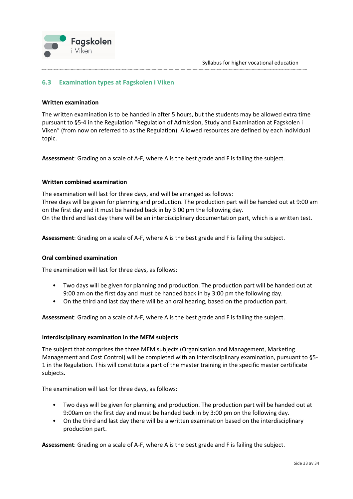

#### <span id="page-32-0"></span>**6.3 Examination types at Fagskolen i Viken**

#### **Written examination**

The written examination is to be handed in after 5 hours, but the students may be allowed extra time pursuant to §5-4 in the Regulation "Regulation of Admission, Study and Examination at Fagskolen i Viken" (from now on referred to as the Regulation). Allowed resources are defined by each individual topic.

**Assessment**: Grading on a scale of A-F, where A is the best grade and F is failing the subject.

#### **Written combined examination**

The examination will last for three days, and will be arranged as follows: Three days will be given for planning and production. The production part will be handed out at 9:00 am on the first day and it must be handed back in by 3:00 pm the following day. On the third and last day there will be an interdisciplinary documentation part, which is a written test.

**Assessment**: Grading on a scale of A-F, where A is the best grade and F is failing the subject.

#### **Oral combined examination**

The examination will last for three days, as follows:

- Two days will be given for planning and production. The production part will be handed out at 9:00 am on the first day and must be handed back in by 3:00 pm the following day.
- On the third and last day there will be an oral hearing, based on the production part.

**Assessment**: Grading on a scale of A-F, where A is the best grade and F is failing the subject.

#### **Interdisciplinary examination in the MEM subjects**

The subject that comprises the three MEM subjects (Organisation and Management, Marketing Management and Cost Control) will be completed with an interdisciplinary examination, pursuant to §5- 1 in the Regulation. This will constitute a part of the master training in the specific master certificate subjects.

The examination will last for three days, as follows:

- Two days will be given for planning and production. The production part will be handed out at 9:00am on the first day and must be handed back in by 3:00 pm on the following day.
- On the third and last day there will be a written examination based on the interdisciplinary production part.

**Assessment**: Grading on a scale of A-F, where A is the best grade and F is failing the subject.